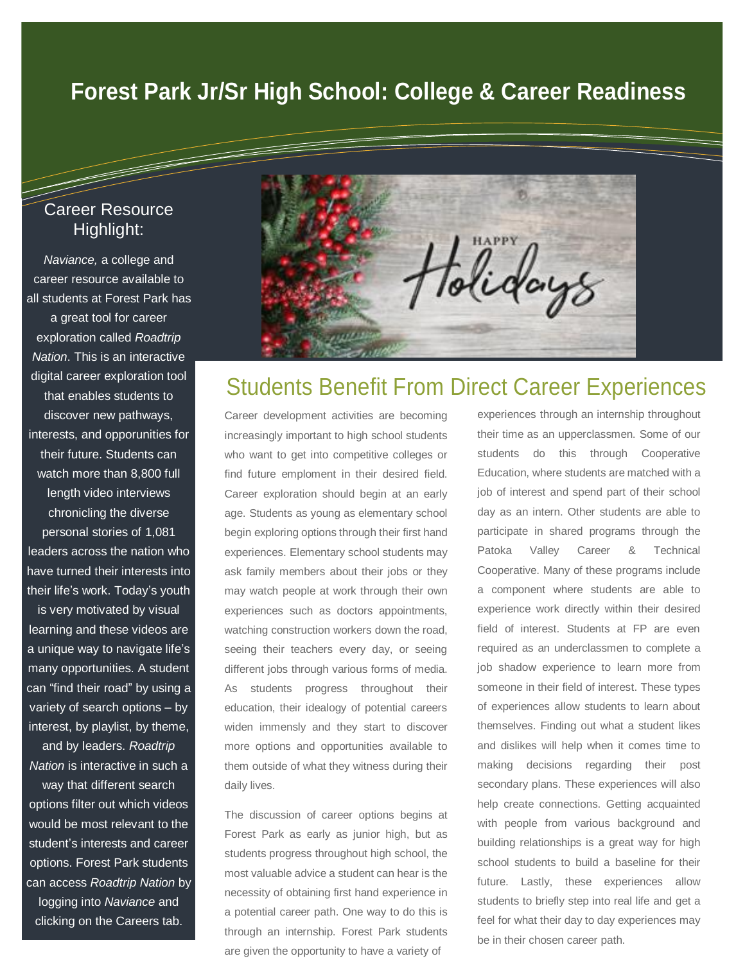# **Forest Park Jr/Sr High School: College & Career Readiness**

### Career Resource Highlight:

=

*Naviance,* a college and career resource available to all students at Forest Park has a great tool for career exploration called *Roadtrip Nation*. This is an interactive digital career exploration tool that enables students to discover new pathways, interests, and opporunities for their future. Students can watch more than 8,800 full length video interviews chronicling the diverse personal stories of 1,081 leaders across the nation who have turned their interests into their life's work. Today's youth is very motivated by visual learning and these videos are a unique way to navigate life's many opportunities. A student can "find their road" by using a

variety of search options – by interest, by playlist, by theme, and by leaders. *Roadtrip Nation* is interactive in such a

way that different search options filter out which videos would be most relevant to the student's interests and career options. Forest Park students can access *Roadtrip Nation* by logging into *Naviance* and clicking on the Careers tab.



## Students Benefit From Direct Career Experiences

Career development activities are becoming increasingly important to high school students who want to get into competitive colleges or find future emploment in their desired field. Career exploration should begin at an early age. Students as young as elementary school begin exploring options through their first hand experiences. Elementary school students may ask family members about their jobs or they may watch people at work through their own experiences such as doctors appointments, watching construction workers down the road, seeing their teachers every day, or seeing different jobs through various forms of media. As students progress throughout their education, their idealogy of potential careers widen immensly and they start to discover more options and opportunities available to them outside of what they witness during their daily lives.

The discussion of career options begins at Forest Park as early as junior high, but as students progress throughout high school, the most valuable advice a student can hear is the necessity of obtaining first hand experience in a potential career path. One way to do this is through an internship. Forest Park students are given the opportunity to have a variety of

experiences through an internship throughout their time as an upperclassmen. Some of our students do this through Cooperative Education, where students are matched with a job of interest and spend part of their school day as an intern. Other students are able to participate in shared programs through the Patoka Valley Career & Technical Cooperative. Many of these programs include a component where students are able to experience work directly within their desired field of interest. Students at FP are even required as an underclassmen to complete a job shadow experience to learn more from someone in their field of interest. These types of experiences allow students to learn about themselves. Finding out what a student likes and dislikes will help when it comes time to making decisions regarding their post secondary plans. These experiences will also help create connections. Getting acquainted with people from various background and building relationships is a great way for high school students to build a baseline for their future. Lastly, these experiences allow students to briefly step into real life and get a feel for what their day to day experiences may be in their chosen career path.